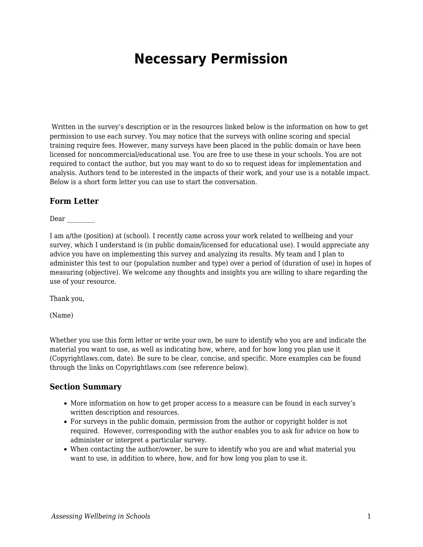## **Necessary Permission**

Written in the survey's description or in the resources linked below is the information on how to get permission to use each survey. You may notice that the surveys with online scoring and special training require fees. However, many surveys have been placed in the public domain or have been licensed for noncommercial/educational use. You are free to use these in your schools. You are not required to contact the author, but you may want to do so to request ideas for implementation and analysis. Authors tend to be interested in the impacts of their work, and your use is a notable impact. Below is a short form letter you can use to start the conversation.

## **Form Letter**

Dear \_\_\_\_\_\_\_\_\_

I am a/the (position) at (school). I recently came across your work related to wellbeing and your survey, which I understand is (in public domain/licensed for educational use). I would appreciate any advice you have on implementing this survey and analyzing its results. My team and I plan to administer this test to our (population number and type) over a period of (duration of use) in hopes of measuring (objective). We welcome any thoughts and insights you are willing to share regarding the use of your resource.

Thank you,

(Name)

Whether you use this form letter or write your own, be sure to identify who you are and indicate the material you want to use, as well as indicating how, where, and for how long you plan use it (Copyrightlaws.com, date). Be sure to be clear, concise, and specific. More examples can be found through the links on Copyrightlaws.com (see reference below).

## **Section Summary**

- More information on how to get proper access to a measure can be found in each survey's written description and resources.
- For surveys in the public domain, permission from the author or copyright holder is not required. However, corresponding with the author enables you to ask for advice on how to administer or interpret a particular survey.
- When contacting the author/owner, be sure to identify who you are and what material you want to use, in addition to where, how, and for how long you plan to use it.